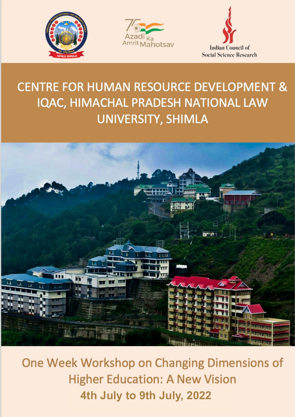





# **CENTRE FOR HUMAN RESOURCE DEVELOPMENT &** IQAC, HIMACHAL PRADESH NATIONAL LAW UNIVERSITY, SHIMLA



One Week Workshop on Changing Dimensions of **Higher Education: A New Vision 4th July to 9th July, 2022**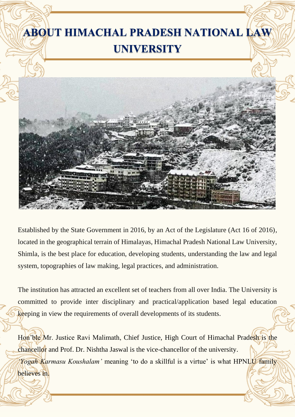

Established by the State Government in 2016, by an Act of the Legislature (Act 16 of 2016), located in the geographical terrain of Himalayas, Himachal Pradesh National Law University, Shimla, is the best place for education, developing students, understanding the law and legal system, topographies of law making, legal practices, and administration.

The institution has attracted an excellent set of teachers from all over India. The University is committed to provide inter disciplinary and practical/application based legal education keeping in view the requirements of overall developments of its students.

Hon'ble Mr. Justice Ravi Malimath, Chief Justice, High Court of Himachal Pradesh is the chancellor and Prof. Dr. Nishtha Jaswal is the vice-chancellor of the university.

*'Yogah Karmasu Koushalam'* meaning 'to do a skillful is a virtue' is what HPNLU family

believes in.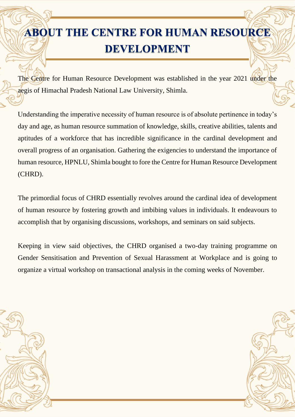# **ABOUT THE CENTRE FOR HUMAN RESOURCE DEVELOPMENT**

The Centre for Human Resource Development was established in the year 2021 under the aegis of Himachal Pradesh National Law University, Shimla.

Understanding the imperative necessity of human resource is of absolute pertinence in today's day and age, as human resource summation of knowledge, skills, creative abilities, talents and aptitudes of a workforce that has incredible significance in the cardinal development and overall progress of an organisation. Gathering the exigencies to understand the importance of human resource, HPNLU, Shimla bought to fore the Centre for Human Resource Development (CHRD).

The primordial focus of CHRD essentially revolves around the cardinal idea of development of human resource by fostering growth and imbibing values in individuals. It endeavours to accomplish that by organising discussions, workshops, and seminars on said subjects.

Keeping in view said objectives, the CHRD organised a two-day training programme on Gender Sensitisation and Prevention of Sexual Harassment at Workplace and is going to organize a virtual workshop on transactional analysis in the coming weeks of November.



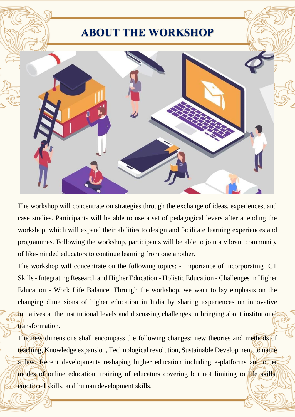## **ABOUT THE WORKSHOP**



The workshop will concentrate on strategies through the exchange of ideas, experiences, and case studies. Participants will be able to use a set of pedagogical levers after attending the workshop, which will expand their abilities to design and facilitate learning experiences and programmes. Following the workshop, participants will be able to join a vibrant community of like-minded educators to continue learning from one another.

The workshop will concentrate on the following topics: - Importance of incorporating ICT Skills - Integrating Research and Higher Education - Holistic Education - Challenges in Higher Education - Work Life Balance. Through the workshop, we want to lay emphasis on the changing dimensions of higher education in India by sharing experiences on innovative initiatives at the institutional levels and discussing challenges in bringing about institutional transformation.

The new dimensions shall encompass the following changes: new theories and methods of teaching, Knowledge expansion, Technological revolution, Sustainable Development, to name a few. Recent developments reshaping higher education including e-platforms and other modes of online education, training of educators covering but not limiting to life skills, emotional skills, and human development skills.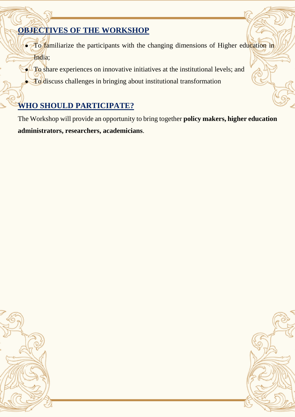## **OBJECTIVES OF THE WORKSHOP**

- To familiarize the participants with the changing dimensions of Higher education in India;
- To share experiences on innovative initiatives at the institutional levels; and
- **To** discuss challenges in bringing about institutional transformation

## **WHO SHOULD PARTICIPATE?**

The Workshop will provide an opportunity to bring together **policy makers, higher education administrators, researchers, academicians**.



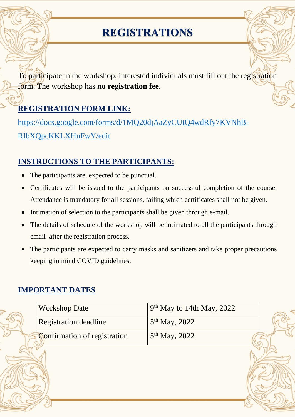# **REGISTRATIONS**

To participate in the workshop, interested individuals must fill out the registration form. The workshop has **no registration fee.**

### **REGISTRATION FORM LINK:**

[https://docs.google.com/forms/d/1MQ20djAaZyCUtQ4wdRfy7KVNhB-](https://docs.google.com/forms/d/1MQ20djAaZyCUtQ4wdRfy7KVNhB-RIbXQpcKKLXHuFwY/edit)[RIbXQpcKKLXHuFwY/edit](https://docs.google.com/forms/d/1MQ20djAaZyCUtQ4wdRfy7KVNhB-RIbXQpcKKLXHuFwY/edit)

### **INSTRUCTIONS TO THE PARTICIPANTS:**

- The participants are expected to be punctual.
- Certificates will be issued to the participants on successful completion of the course. Attendance is mandatory for all sessions, failing which certificates shall not be given.
- Intimation of selection to the participants shall be given through e-mail.
- The details of schedule of the workshop will be intimated to all the participants through email after the registration process.
- The participants are expected to carry masks and sanitizers and take proper precautions keeping in mind COVID guidelines.

### **IMPORTANT DATES**

| <b>Workshop Date</b>                | $9th$ May to 14th May, 2022 |  |
|-------------------------------------|-----------------------------|--|
| <b>Registration deadline</b>        | $5th$ May, 2022             |  |
| <b>Confirmation of registration</b> | $5th$ May, 2022             |  |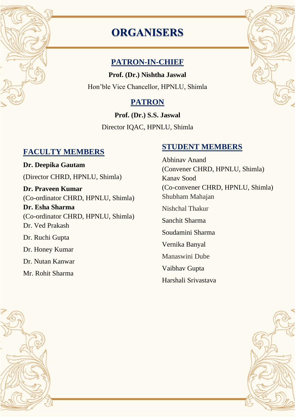# **ORGANISERS**

### **PATRON-IN-CHIEF**

**Prof. (Dr.) Nishtha Jaswal** Hon'ble Vice Chancellor, HPNLU, Shimla

## **PATRON**

**Prof. (Dr.) S.S. Jaswal** Director IQAC, HPNLU, Shimla

### **FACULTY MEMBERS**

**Dr. Deepika Gautam** (Director CHRD, HPNLU, Shimla) **Dr. Praveen Kumar**  (Co-ordinator CHRD, HPNLU, Shimla) **Dr. Esha Sharma**  (Co-ordinator CHRD, HPNLU, Shimla) Dr. Ved Prakash Dr. Ruchi Gupta Dr. Honey Kumar Dr. Nutan Kanwar Mr. Rohit Sharma

### **STUDENT MEMBERS**

Abhinav Anand (Convener CHRD, HPNLU, Shimla) Kanav Sood (Co-convener CHRD, HPNLU, Shimla) Shubham Mahajan Nishchal Thakur Sanchit Sharma Soudamini Sharma Vernika Banyal Manaswini Dube Vaibhav Gupta Harshali Srivastava